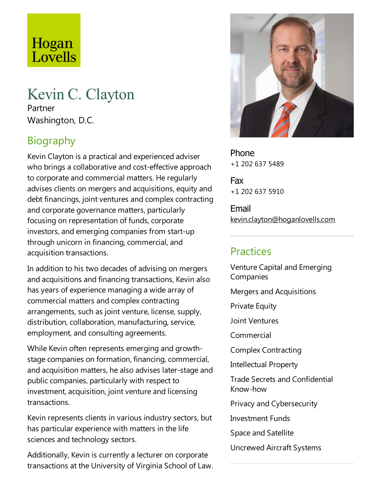# Hogan Lovells

## Kevin C. Clayton

Partner Washington, D.C.

## Biography

Kevin Clayton is a practical and experienced adviser who brings a collaborative and cost-effective approach to corporate and commercial matters. He regularly advises clients on mergers and acquisitions, equity and debt financings, joint ventures and complex contracting and corporate governance matters, particularly focusing on representation of funds, corporate investors, and emerging companies from start-up through unicorn in financing, commercial, and acquisition transactions.

In addition to his two decades of advising on mergers and acquisitions and financing transactions, Kevin also has years of experience managing a wide array of commercial matters and complex contracting arrangements, such as joint venture, license, supply, distribution, collaboration, manufacturing, service, employment, and consulting agreements.

While Kevin often represents emerging and growthstage companies on formation, financing, commercial, and acquisition matters, he also advises later-stage and public companies, particularly with respect to investment, acquisition, joint venture and licensing transactions.

Kevin represents clients in various industry sectors, but has particular experience with matters in the life sciences and technology sectors.

Additionally, Kevin is currently alecturer on corporate transactions at the University of Virginia School of Law.



Phone +1 202 637 5489

Fax +1 202 637 5910

Email kevin.clayton@hoganlovells.com

#### Practices

Venture Capital and Emerging Companies Mergers and Acquisitions **Private Equity** Joint Ventures Commercial Complex Contracting Intellectual Property Trade Secrets and Confidential Know-how Privacy and Cybersecurity Investment Funds Space and Satellite Uncrewed Aircraft Systems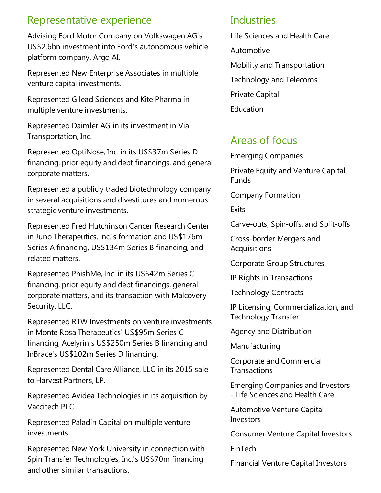#### Representative experience

Advising Ford Motor Company on Volkswagen AG's US\$2.6bn investment into Ford's autonomous vehicle platform company, Argo AI.

Represented New Enterprise Associates in multiple venture capital investments.

Represented Gilead Sciences and Kite Pharma in multiple venture investments.

Represented Daimler AG in its investment in Via Transportation, Inc.

Represented OptiNose, Inc. in its US\$37m Series D financing, prior equity and debt financings, and general corporate matters.

Represented a publicly traded biotechnology company in several acquisitions and divestitures and numerous strategic venture investments.

Represented Fred Hutchinson Cancer Research Center in Juno Therapeutics, Inc.'s formation and US\$176m Series A financing, US\$134m Series B financing, and related matters.

Represented PhishMe, Inc. in its US\$42m Series C financing, prior equity and debt financings, general corporate matters, and its transaction with Malcovery Security, LLC.

Represented RTW Investments on venture investments in Monte Rosa Therapeutics' US\$95m Series C financing, Acelyrin's US\$250m Series B financing and InBrace's US\$102m Series D financing.

Represented Dental Care Alliance, LLC in its 2015 sale to Harvest Partners, LP.

Represented AvideaTechnologies in its acquisition by Vaccitech PLC.

Represented Paladin Capital on multiple venture investments.

Represented New York University in connection with Spin Transfer Technologies, Inc.'s US\$70m financing and other similar transactions.

#### **Industries**

Life Sciences and Health Care

- Automotive
- Mobility and Transportation
- Technology and Telecoms

Private Capital

Education

#### Areas of focus

Emerging Companies

Private Equity and Venture Capital Funds

Company Formation

**Exits** 

Carve-outs, Spin-offs,and Split-offs

Cross-border Mergers and Acquisitions

Corporate Group Structures

IP Rights in Transactions

Technology Contracts

IP Licensing, Commercialization,and Technology Transfer

Agency and Distribution

Manufacturing

Corporate and Commercial **Transactions** 

Emerging Companies and Investors -Life Sciences and Health Care

Automotive Venture Capital Investors

Consumer Venture Capital Investors

FinTech

Financial Venture Capital Investors